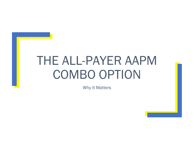# THE ALL-PAYER AAPM COMBO OPTION

Why It Matters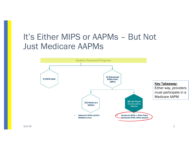# It's Either MIPS or AAPMs – But Not Just Medicare AAPMs

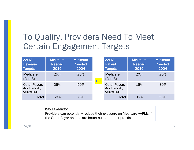# To Qualify, Providers Need To Meet Certain Engagement Targets

| <b>AAPM</b><br>Revenue<br><b>Targets</b>             | <b>Minimum</b><br><b>Needed</b><br>2019 | <b>Minimum</b><br><b>Needed</b><br>2024 |    | <b>AAPM</b><br><b>Patient</b><br>Targets             | Minimum<br><b>Needed</b><br>2019 | <b>Minimum</b><br><b>Needed</b><br>2024 |
|------------------------------------------------------|-----------------------------------------|-----------------------------------------|----|------------------------------------------------------|----------------------------------|-----------------------------------------|
| <b>Medicare</b><br>(Part B)                          | 25%                                     | 25%                                     | OR | Medicare<br>(Part B)                                 | 20%                              | 20%                                     |
| <b>Other Payers</b><br>(MA, Medicaid,<br>Commercial) | 25%                                     | 50%                                     |    | <b>Other Payers</b><br>(MA, Medicaid,<br>Commercial) | 15%                              | 30%                                     |
| Total                                                | 50%                                     | 75%                                     |    | Total                                                | 35%                              | 50%                                     |

#### Key Takeaway:

Providers can potentially reduce their exposure on Medicare AAPMs if the Other Payer options are better suited to their practice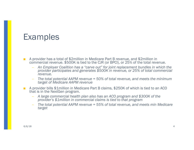### Examples

- A provider has a total of \$2million in Medicare Part B revenue, and \$2million in commercial revenue. \$500K is tied to the CJR (or BPCI), or 25% of the total revenue.
	- – *An Employer Coalition has a "carve out" for joint replacement bundles in which the provider participates and generates \$500K in revenue, or 25% of total commercial revenue.*
	- – *The total potential AAPM revenue = 50% of total revenue, and meets the minimum target of Medicare AAPM revenue*
- ■ A provider bills \$1million in Medicare Part B claims, \$250K of which is tied to an ACO that is in the NextGen program.
	- *A large commercial health plan also has an ACO program and \$300K of the provider's \$1million in commercial claims is tied to that program*
	- *The total potential AAPM revenue = 55% of total revenue, and meets min Medicare target*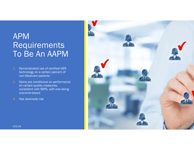## APM Requirements To Be An AAPM

- Demonstrated use of certified HER technology on a certain percent of non-Medicare patients
- 2. Gains are conditional on performance on certain quality measures, consistent with MIPS, with one being outcome-based
- 3.. Has downside risk

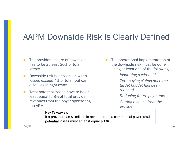# AAPM Downside Risk Is Clearly Defined

- The provider's share of downside has to be at least 30% of total losses
- Downside risk has to kick in when losses exceed 4% of total, but can also kick in right away
- Total potential losses have to be at least equal to 8% of total provider revenues from the payer sponsoring the APM
- The operational implementation of the downside risk must be done using at least one of the following:
	- *Instituting a withhold*
	- *Zero-paying claims once the target budget has been reached*
	- *Reducing future payments*
	- *Getting a check from the provider*

#### **Key Takeaway:**

If a provider has \$1million in revenue from a commercial payer, total potential losses must at least equal \$80K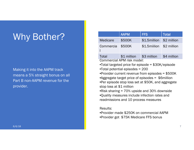# Why Bother?

Making it into the AAPM track means a 5% straight bonus on all Part B non-AAPM revenue for the provider.

|                          | <b>AAPM</b>                              | <b>FFS</b>                                                                                                                                                                                                                                                                                                 | <b>Total</b> |
|--------------------------|------------------------------------------|------------------------------------------------------------------------------------------------------------------------------------------------------------------------------------------------------------------------------------------------------------------------------------------------------------|--------------|
| <b>Medicare</b>          | \$500K                                   | \$1.5million                                                                                                                                                                                                                                                                                               | \$2 million  |
| Commercia                | \$500K                                   | \$1.5miilion                                                                                                                                                                                                                                                                                               | \$2 million  |
| Total                    | \$1 million 53 million                   |                                                                                                                                                                                                                                                                                                            | \$4 million  |
| stop loss at \$1 million |                                          | •Provider current revenue from episodes $= $500K$<br>• Aggregate target price of episodes $=$ \$6 million<br>•Per episode stop loss set at \$50K, and aggregate<br>•Risk sharing $= 70\%$ upside and 30% downside<br>•Quality measures include infection rates and<br>readmissions and 10 process measures |              |
| Results:                 | •Provider made \$250K on commercial AAPM |                                                                                                                                                                                                                                                                                                            |              |

•Provider got \$75K Medicare FFS bonus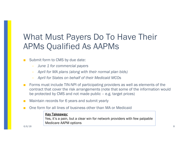# What Must Payers Do To Have Their APMs Qualified As AAPMs

#### Submit form to CMS by due date:

- $\overline{\phantom{0}}$ *June 1 for commercial payers*
- *April for MA plans (along with their normal plan bids)*
- *April for States on behalf of their Medicaid MCOs*
- Forms must include TIN-NPI of participating providers as well as elements of the contract that cover the risk arrangements (note that some of the information would be protected by CMS and not made public – e.g. target prices)
- Maintain records for 6 years and submit yearly
- One form for all lines of business other than MA or Medicaid

#### **Key Takeaway:**

Yes, it's a pain, but a clear win for network providers with few palpable Medicare AAPM options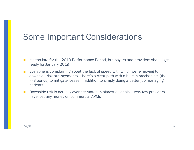## Some Important Considerations

- It's too late for the 2019 Performance Period, but payers and providers should get ready for January 2019
- Everyone is complaining about the lack of speed with which we're moving to downside risk arrangements – here's a clear path with a built-in mechanism (the FFS bonus) to mitigate losses in addition to simply doing a better job managing patients
- Downside risk is actually over estimated in almost all deals very few providers have lost any money on commercial APMs